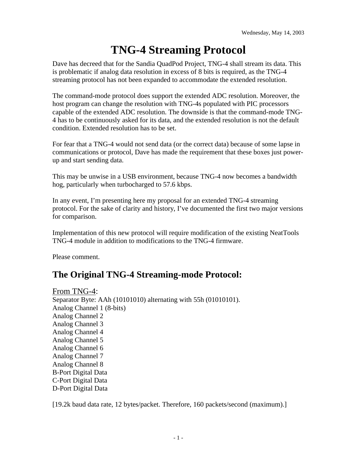# **TNG-4 Streaming Protocol**

Dave has decreed that for the Sandia QuadPod Project, TNG-4 shall stream its data. This is problematic if analog data resolution in excess of 8 bits is required, as the TNG-4 streaming protocol has not been expanded to accommodate the extended resolution.

The command-mode protocol does support the extended ADC resolution. Moreover, the host program can change the resolution with TNG-4s populated with PIC processors capable of the extended ADC resolution. The downside is that the command-mode TNG-4 has to be continuously asked for its data, and the extended resolution is not the default condition. Extended resolution has to be set.

For fear that a TNG-4 would not send data (or the correct data) because of some lapse in communications or protocol, Dave has made the requirement that these boxes just powerup and start sending data.

This may be unwise in a USB environment, because TNG-4 now becomes a bandwidth hog, particularly when turbocharged to 57.6 kbps.

In any event, I'm presenting here my proposal for an extended TNG-4 streaming protocol. For the sake of clarity and history, I've documented the first two major versions for comparison.

Implementation of this new protocol will require modification of the existing NeatTools TNG-4 module in addition to modifications to the TNG-4 firmware.

Please comment.

# **The Original TNG-4 Streaming-mode Protocol:**

From TNG-4: Separator Byte: AAh (10101010) alternating with 55h (01010101). Analog Channel 1 (8-bits) Analog Channel 2 Analog Channel 3 Analog Channel 4 Analog Channel 5 Analog Channel 6 Analog Channel 7 Analog Channel 8 B-Port Digital Data C-Port Digital Data D-Port Digital Data

[19.2k baud data rate, 12 bytes/packet. Therefore, 160 packets/second (maximum).]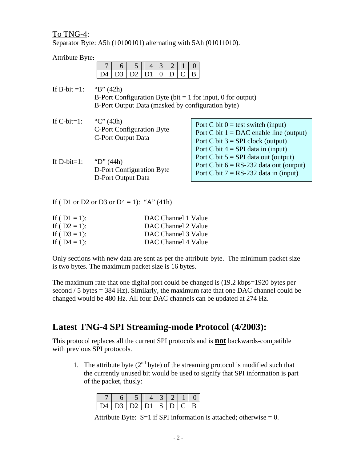To TNG-4:

Separator Byte: A5h (10100101) alternating with 5Ah (01011010).

| Attribute Byte:                          |                                                 |                |    |                |          |   |  |   |                                                                                      |
|------------------------------------------|-------------------------------------------------|----------------|----|----------------|----------|---|--|---|--------------------------------------------------------------------------------------|
|                                          |                                                 | 6              | 5  | $\overline{4}$ | 3        | 2 |  | U |                                                                                      |
|                                          | D4                                              | D <sub>3</sub> | D2 | D <sub>1</sub> | $\Omega$ | D |  | B |                                                                                      |
| If B-bit $=1$ :                          | " $B$ " (42h)                                   |                |    |                |          |   |  |   |                                                                                      |
|                                          |                                                 |                |    |                |          |   |  |   | B-Port Configuration Byte (bit $= 1$ for input, 0 for output)                        |
|                                          |                                                 |                |    |                |          |   |  |   | B-Port Output Data (masked by configuration byte)                                    |
|                                          |                                                 |                |    |                |          |   |  |   |                                                                                      |
| If $C$ -bit=1:                           | "C" $(43h)$                                     |                |    |                |          |   |  |   | Port C bit $0 =$ test switch (input)                                                 |
|                                          | C-Port Configuration Byte<br>C-Port Output Data |                |    |                |          |   |  |   | Port C bit $1 = DAC$ enable line (output)                                            |
|                                          |                                                 |                |    |                |          |   |  |   | Port C bit $3 = SPI$ clock (output)                                                  |
|                                          |                                                 |                |    |                |          |   |  |   | Port C bit $4 = SPI$ data in (input)                                                 |
| If $D$ -bit=1:                           | "D" $(44h)$                                     |                |    |                |          |   |  |   | Port C bit $5 = SPI$ data out (output)                                               |
|                                          | D-Port Configuration Byte                       |                |    |                |          |   |  |   | Port C bit $6 = RS-232$ data out (output)<br>Port C bit $7 = RS-232$ data in (input) |
|                                          | <b>D-Port Output Data</b>                       |                |    |                |          |   |  |   |                                                                                      |
|                                          |                                                 |                |    |                |          |   |  |   |                                                                                      |
|                                          |                                                 |                |    |                |          |   |  |   |                                                                                      |
| If (D1 or D2 or D3 or D4 = 1): "A" (41h) |                                                 |                |    |                |          |   |  |   |                                                                                      |

| If ( $D1 = 1$ ): | DAC Channel 1 Value |
|------------------|---------------------|
| If ( $D2 = 1$ ): | DAC Channel 2 Value |
| If ( $D3 = 1$ ): | DAC Channel 3 Value |
| If ( $D4 = 1$ ): | DAC Channel 4 Value |

Only sections with new data are sent as per the attribute byte. The minimum packet size is two bytes. The maximum packet size is 16 bytes.

The maximum rate that one digital port could be changed is (19.2 kbps=1920 bytes per second / 5 bytes = 384 Hz). Similarly, the maximum rate that one DAC channel could be changed would be 480 Hz. All four DAC channels can be updated at 274 Hz.

## **Latest TNG-4 SPI Streaming-mode Protocol (4/2003):**

This protocol replaces all the current SPI protocols and is **not** backwards-compatible with previous SPI protocols.

1. The attribute byte  $(2<sup>nd</sup> byte)$  of the streaming protocol is modified such that the currently unused bit would be used to signify that SPI information is part of the packet, thusly:

|  | D4   D3   D2   D1   S   D   C   B |  |  |  |
|--|-----------------------------------|--|--|--|

Attribute Byte:  $S=1$  if SPI information is attached; otherwise = 0.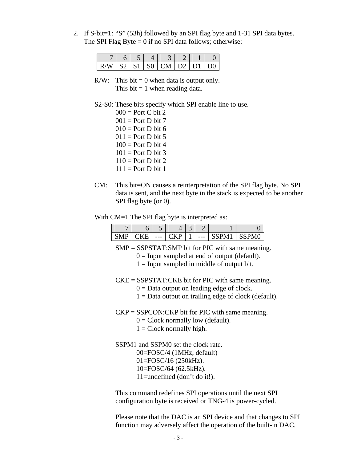2. If S-bit=1: "S" (53h) followed by an SPI flag byte and 1-31 SPI data bytes. The SPI Flag Byte  $= 0$  if no SPI data follows; otherwise:

| $R/W$   S2   S1   S0   CM   D2   D1   D0 |  |  |  |  |
|------------------------------------------|--|--|--|--|

 $R/W$ : This bit = 0 when data is output only. This bit  $= 1$  when reading data.

#### S2-S0: These bits specify which SPI enable line to use.

 $000 =$  Port C bit 2  $001 =$  Port D bit 7  $010 =$  Port D bit 6  $011$  = Port D bit 5  $100 =$  Port D bit 4  $101 =$  Port D bit 3  $110 =$  Port D bit 2  $111 =$  Port D bit 1

CM: This bit=ON causes a reinterpretation of the SPI flag byte. No SPI data is sent, and the next byte in the stack is expected to be another SPI flag byte (or 0).

With CM=1 The SPI flag byte is interpreted as:

|  | $---$ |  | --- | PM. |  |
|--|-------|--|-----|-----|--|

SMP = SSPSTAT:SMP bit for PIC with same meaning.

- $0 =$  Input sampled at end of output (default).
- $1 =$  Input sampled in middle of output bit.

 $CKE = SSPSTAT:CKE$  bit for PIC with same meaning.

- $0 =$  Data output on leading edge of clock.
- $1 =$  Data output on trailing edge of clock (default).

 $CKP = SSPCON:CKP$  bit for PIC with same meaning.

- $0 =$  Clock normally low (default).
- $1 = \text{Clock normally high.}$
- SSPM1 and SSPM0 set the clock rate. 00=FOSC/4 (1MHz, default) 01=FOSC/16 (250kHz).
	- 10=FOSC/64 (62.5kHz).
	- 11=undefined (don't do it!).

This command redefines SPI operations until the next SPI configuration byte is received or TNG-4 is power-cycled.

Please note that the DAC is an SPI device and that changes to SPI function may adversely affect the operation of the built-in DAC.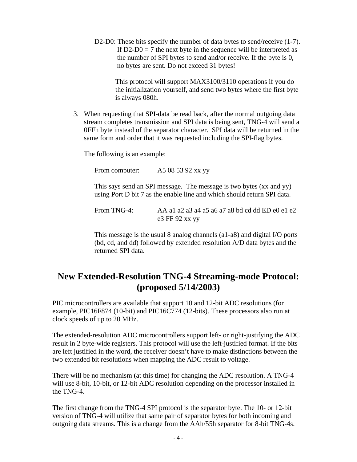D2-D0: These bits specify the number of data bytes to send/receive (1-7). If  $D2-D0 = 7$  the next byte in the sequence will be interpreted as the number of SPI bytes to send and/or receive. If the byte is 0, no bytes are sent. Do not exceed 31 bytes!

> This protocol will support MAX3100/3110 operations if you do the initialization yourself, and send two bytes where the first byte is always 080h.

3. When requesting that SPI-data be read back, after the normal outgoing data stream completes transmission and SPI data is being sent, TNG-4 will send a 0FFh byte instead of the separator character. SPI data will be returned in the same form and order that it was requested including the SPI-flag bytes.

The following is an example:

From computer: A5 08 53 92 xx yy

This says send an SPI message. The message is two bytes (xx and yy) using Port D bit 7 as the enable line and which should return SPI data.

From TNG-4: AA a1 a2 a3 a4 a5 a6 a7 a8 bd cd dd ED e0 e1 e2 e3 FF 92 xx yy

This message is the usual 8 analog channels (a1-a8) and digital I/O ports (bd, cd, and dd) followed by extended resolution A/D data bytes and the returned SPI data.

### **New Extended-Resolution TNG-4 Streaming-mode Protocol: (proposed 5/14/2003)**

PIC microcontrollers are available that support 10 and 12-bit ADC resolutions (for example, PIC16F874 (10-bit) and PIC16C774 (12-bits). These processors also run at clock speeds of up to 20 MHz.

The extended-resolution ADC microcontrollers support left- or right-justifying the ADC result in 2 byte-wide registers. This protocol will use the left-justified format. If the bits are left justified in the word, the receiver doesn't have to make distinctions between the two extended bit resolutions when mapping the ADC result to voltage.

There will be no mechanism (at this time) for changing the ADC resolution. A TNG-4 will use 8-bit, 10-bit, or 12-bit ADC resolution depending on the processor installed in the TNG-4.

The first change from the TNG-4 SPI protocol is the separator byte. The 10- or 12-bit version of TNG-4 will utilize that same pair of separator bytes for both incoming and outgoing data streams. This is a change from the AAh/55h separator for 8-bit TNG-4s.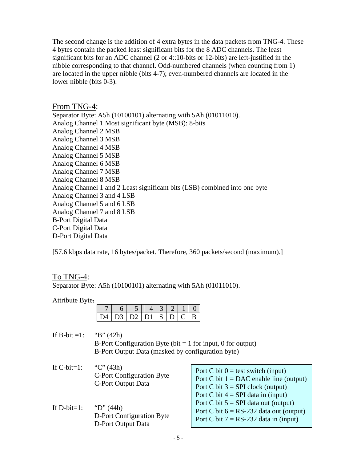The second change is the addition of 4 extra bytes in the data packets from TNG-4. These 4 bytes contain the packed least significant bits for the 8 ADC channels. The least significant bits for an ADC channel (2 or 4::10-bits or 12-bits) are left-justified in the nibble corresponding to that channel. Odd-numbered channels (when counting from 1) are located in the upper nibble (bits 4-7); even-numbered channels are located in the lower nibble (bits 0-3).

#### From TNG-4:

Separator Byte: A5h (10100101) alternating with 5Ah (01011010). Analog Channel 1 Most significant byte (MSB): 8-bits Analog Channel 2 MSB Analog Channel 3 MSB Analog Channel 4 MSB Analog Channel 5 MSB Analog Channel 6 MSB Analog Channel 7 MSB Analog Channel 8 MSB Analog Channel 1 and 2 Least significant bits (LSB) combined into one byte Analog Channel 3 and 4 LSB Analog Channel 5 and 6 LSB Analog Channel 7 and 8 LSB B-Port Digital Data C-Port Digital Data D-Port Digital Data

[57.6 kbps data rate, 16 bytes/packet. Therefore, 360 packets/second (maximum).]

### To TNG-4:

Separator Byte: A5h (10100101) alternating with 5Ah (01011010).

#### Attribute Byte**:**

|  |  | ות ו-צוומו למוזמו |  | $C + F$ |  |
|--|--|-------------------|--|---------|--|

If B-bit =1: "B" (42h) B-Port Configuration Byte (bit  $= 1$  for input, 0 for output) B-Port Output Data (masked by configuration byte)

- If C-bit=1: "C"  $(43h)$ C-Port Configuration Byte C-Port Output Data
- If D-bit=1: "D"  $(44h)$ D-Port Configuration Byte D-Port Output Data

| Port C bit $0 =$ test switch (input)      |
|-------------------------------------------|
| Port C bit $1 = DAC$ enable line (output) |
| Port C bit $3 = SPI$ clock (output)       |
| Port C bit $4 = SPI$ data in (input)      |
| Port C bit $5 = SPI$ data out (output)    |
| Port C bit $6 = RS-232$ data out (output) |
| Port C bit $7 = RS-232$ data in (input)   |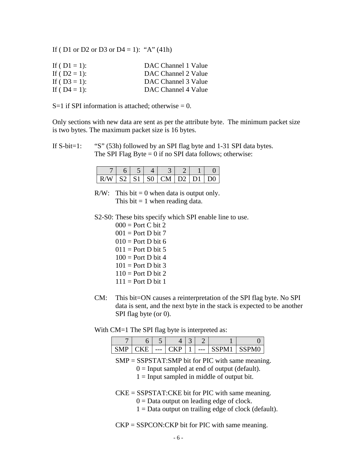If ( D1 or D2 or D3 or D4 = 1): "A" (41h)

| If ( $D1 = 1$ ): | DAC Channel 1 Value |
|------------------|---------------------|
| If ( $D2 = 1$ ): | DAC Channel 2 Value |
| If ( $D3 = 1$ ): | DAC Channel 3 Value |
| If ( $D4 = 1$ ): | DAC Channel 4 Value |

 $S=1$  if SPI information is attached; otherwise = 0.

Only sections with new data are sent as per the attribute byte. The minimum packet size is two bytes. The maximum packet size is 16 bytes.

If S-bit=1: "S" (53h) followed by an SPI flag byte and 1-31 SPI data bytes. The SPI Flag Byte  $= 0$  if no SPI data follows; otherwise:

|                            |  | $6 \mid 5 \mid 4 \mid 3 \mid 2 \mid 1 \mid 0$ |  |  |
|----------------------------|--|-----------------------------------------------|--|--|
| $R/W$ S2 S1 S0 CM D2 D1 D0 |  |                                               |  |  |

R/W: This bit  $= 0$  when data is output only. This bit  $= 1$  when reading data.

- S2-S0: These bits specify which SPI enable line to use.
	- $000 =$  Port C bit 2  $001 =$  Port D bit 7  $010 =$  Port D bit 6  $011$  = Port D bit 5  $100 =$  Port D bit 4  $101 =$  Port D bit 3  $110 =$  Port D bit 2  $111 =$  Port D bit 1
- CM: This bit=ON causes a reinterpretation of the SPI flag byte. No SPI data is sent, and the next byte in the stack is expected to be another SPI flag byte (or 0).

With CM=1 The SPI flag byte is interpreted as:

|    | . .   |   |       |  |
|----|-------|---|-------|--|
| -- | $---$ | υ | $---$ |  |

SMP = SSPSTAT:SMP bit for PIC with same meaning.

- $0 =$  Input sampled at end of output (default).
- $1 =$  Input sampled in middle of output bit.
- CKE = SSPSTAT:CKE bit for PIC with same meaning.
	- $0 =$ Data output on leading edge of clock.
	- $1 =$  Data output on trailing edge of clock (default).

 $CKP = SSPCON:CKP$  bit for PIC with same meaning.